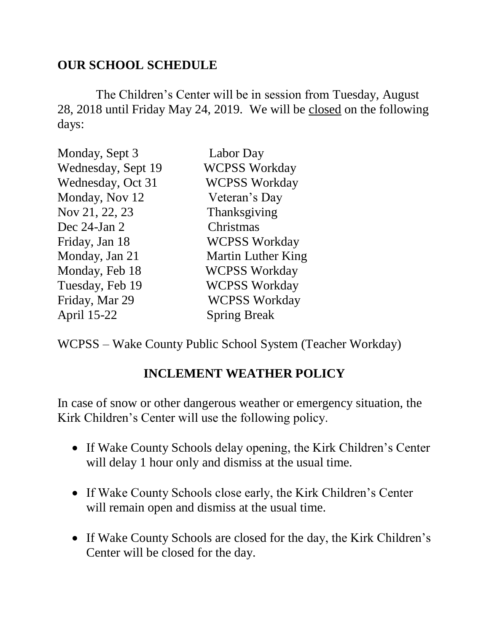## **OUR SCHOOL SCHEDULE**

 The Children's Center will be in session from Tuesday, August 28, 2018 until Friday May 24, 2019. We will be closed on the following days:

| Monday, Sept 3     | Labor Day                 |
|--------------------|---------------------------|
| Wednesday, Sept 19 | <b>WCPSS Workday</b>      |
| Wednesday, Oct 31  | <b>WCPSS Workday</b>      |
| Monday, Nov 12     | Veteran's Day             |
| Nov 21, 22, 23     | Thanksgiving              |
| Dec $24$ -Jan $2$  | Christmas                 |
| Friday, Jan 18     | <b>WCPSS Workday</b>      |
| Monday, Jan 21     | <b>Martin Luther King</b> |
| Monday, Feb 18     | <b>WCPSS Workday</b>      |
| Tuesday, Feb 19    | <b>WCPSS Workday</b>      |
| Friday, Mar 29     | <b>WCPSS Workday</b>      |
| April 15-22        | <b>Spring Break</b>       |

WCPSS – Wake County Public School System (Teacher Workday)

## **INCLEMENT WEATHER POLICY**

In case of snow or other dangerous weather or emergency situation, the Kirk Children's Center will use the following policy.

- If Wake County Schools delay opening, the Kirk Children's Center will delay 1 hour only and dismiss at the usual time.
- If Wake County Schools close early, the Kirk Children's Center will remain open and dismiss at the usual time.
- If Wake County Schools are closed for the day, the Kirk Children's Center will be closed for the day.